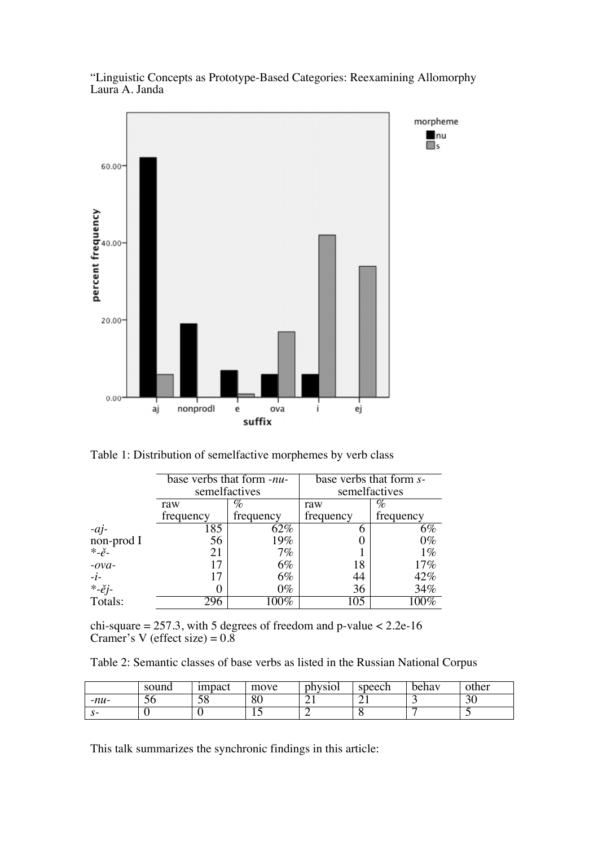

"Linguistic Concepts as Prototype-Based Categories: Reexamining Allomorphy Laura A. Janda

Table 1: Distribution of semelfactive morphemes by verb class

|                                      | base verbs that form -nu- |               | base verbs that form s- |           |  |
|--------------------------------------|---------------------------|---------------|-------------------------|-----------|--|
|                                      |                           | semelfactives | semelfactives           |           |  |
|                                      | raw                       | $\%$          | raw                     | $\%$      |  |
|                                      | frequency                 | frequency     | frequency               | frequency |  |
| $-aj$                                | 185                       | 62%           | 6                       | 6%        |  |
| non-prod I                           | 56                        | 19%           |                         | $0\%$     |  |
| $\ddot{\varepsilon}$ - $\check{e}$ - | 21                        | $7\%$         |                         | $1\%$     |  |
| $-ova-$                              |                           | 6%            | 18                      | 17%       |  |
| $-i$ -                               |                           | 6%            | 44                      | 42%       |  |
| *-ěj-                                |                           | $0\%$         | 36                      | 34%       |  |
| Totals:                              | 296                       | $100\%$       | 105                     | $100\%$   |  |

chi-square = 257.3, with 5 degrees of freedom and p-value  $<$  2.2e-16 Cramer's V (effect size) =  $0.8$ 

Table 2: Semantic classes of base verbs as listed in the Russian National Corpus

|        | sound | <i>impact</i> | move | physiol | speech  | behay | other |
|--------|-------|---------------|------|---------|---------|-------|-------|
| $-mu-$ | ЭO    | cο<br>20      | 80   | - 1     | ⌒<br>∠⊥ |       | 30    |
|        |       | ີ             | ⊥ ~  |         | v       |       | - -   |

This talk summarizes the synchronic findings in this article: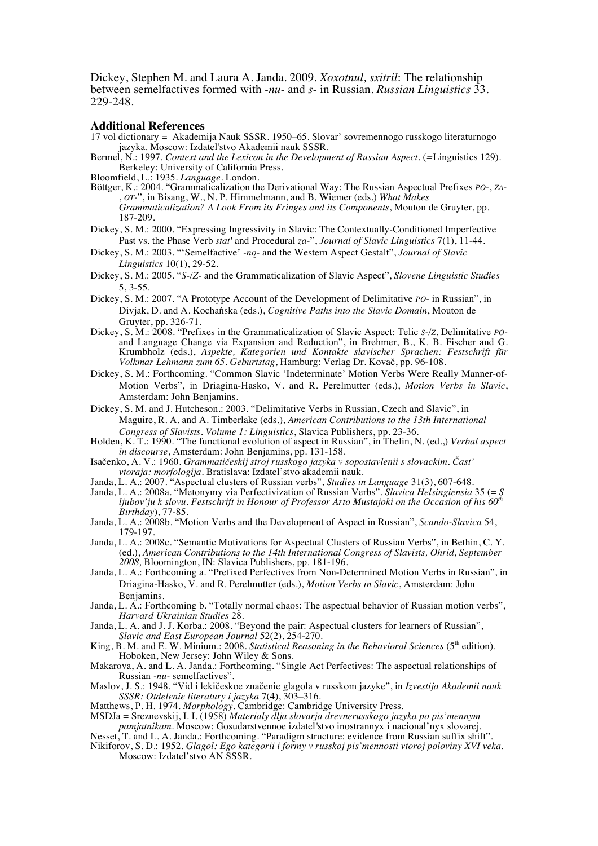Dickey, Stephen M. and Laura A. Janda. 2009. *Xoxotnul, sxitril*: The relationship between semelfactives formed with *-nu-* and *s-* in Russian. *Russian Linguistics* 33. 229-248.

## **Additional References**

- 17 vol dictionary = Akademija Nauk SSSR. 1950–65. Slovar' sovremennogo russkogo literaturnogo jazyka. Moscow: Izdatel'stvo Akademii nauk SSSR.
- Bermel, N.: 1997. *Context and the Lexicon in the Development of Russian Aspect.* (*=*Linguistics 129). Berkeley: University of California Press.

Bloomfield, L.: 1935. *Language*. London.

- Böttger, K.: 2004. "Grammaticalization the Derivational Way: The Russian Aspectual Prefixes *PO-*, *ZA-* , *OT-*", in Bisang, W., N. P. Himmelmann, and B. Wiemer (eds.) *What Makes Grammaticalization? A Look From its Fringes and its Components*, Mouton de Gruyter, pp. 187-209.
- Dickey, S. M.: 2000. "Expressing Ingressivity in Slavic: The Contextually-Conditioned Imperfective Past vs. the Phase Verb *stat'* and Procedural *za-*", *Journal of Slavic Linguistics* 7(1), 11-44.
- Dickey, S. M.: 2003. "'Semelfactive' *-no* and the Western Aspect Gestalt", *Journal of Slavic Linguistics* 10(1), 29-52.
- Dickey, S. M.: 2005. "*S-/Z-* and the Grammaticalization of Slavic Aspect", *Slovene Linguistic Studies* 5, 3-55.
- Dickey, S. M.: 2007. "A Prototype Account of the Development of Delimitative *PO-* in Russian", in Divjak, D. and A. Kochańska (eds.), *Cognitive Paths into the Slavic Domain*, Mouton de Gruyter, pp. 326-71.
- Dickey, S. M.: 2008. "Prefixes in the Grammaticalization of Slavic Aspect: Telic *S-/Z*, Delimitative *PO*and Language Change via Expansion and Reduction", in Brehmer, B., K. B. Fischer and G. Krumbholz (eds.), *Aspekte, Kategorien und Kontakte slavischer Sprachen: Festschrift für Volkmar Lehmann zum 65. Geburtstag*, Hamburg: Verlag Dr. Kovač, pp. 96-108.
- Dickey, S. M.: Forthcoming. "Common Slavic 'Indeterminate' Motion Verbs Were Really Manner-of-Motion Verbs", in Driagina-Hasko, V. and R. Perelmutter (eds.), *Motion Verbs in Slavic*, Amsterdam: John Benjamins.
- Dickey, S. M. and J. Hutcheson.: 2003. "Delimitative Verbs in Russian, Czech and Slavic", in Maguire, R. A. and A. Timberlake (eds.), *American Contributions to the 13th International Congress of Slavists. Volume 1: Linguistics*, Slavica Publishers, pp. 23-36.
- Holden, K. T.: 1990. "The functional evolution of aspect in Russian", in Thelin, N. (ed.,) *Verbal aspect in discourse*, Amsterdam: John Benjamins, pp. 131-158.
- Isačenko, A. V.: 1960. *Grammatičeskij stroj russkogo jazyka v sopostavlenii s slovackim. Čast' vtoraja: morfologija.* Bratislava: Izdatel'stvo akademii nauk.
- Janda, L. A.: 2007. "Aspectual clusters of Russian verbs", *Studies in Language* 31(3), 607-648.
- Janda, L. A.: 2008a. "Metonymy via Perfectivization of Russian Verbs". *Slavica Helsingiensia* 35 (= *S ljubov'ju k slovu. Festschrift in Honour of Professor Arto Mustajoki on the Occasion of his 60th Birthday*), 77-85.
- Janda, L. A.: 2008b. "Motion Verbs and the Development of Aspect in Russian", *Scando-Slavica* 54, 179-197.
- Janda, L. A.: 2008c. "Semantic Motivations for Aspectual Clusters of Russian Verbs", in Bethin, C. Y. (ed.), *American Contributions to the 14th International Congress of Slavists, Ohrid, September 2008,* Bloomington, IN: Slavica Publishers, pp. 181-196.
- Janda, L. A.: Forthcoming a. "Prefixed Perfectives from Non-Determined Motion Verbs in Russian", in Driagina-Hasko, V. and R. Perelmutter (eds.), *Motion Verbs in Slavic*, Amsterdam: John Benjamins.
- Janda, L. A.: Forthcoming b. "Totally normal chaos: The aspectual behavior of Russian motion verbs", *Harvard Ukrainian Studies* 28.
- Janda, L. A. and J. J. Korba.: 2008. "Beyond the pair: Aspectual clusters for learners of Russian", *Slavic and East European Journal* 52(2), 254-270.
- King, B. M. and E. W. Minium.: 2008. *Statistical Reasoning in the Behavioral Sciences* (5<sup>th</sup> edition). Hoboken, New Jersey: John Wiley & Sons.
- Makarova, A. and L. A. Janda.: Forthcoming. "Single Act Perfectives: The aspectual relationships of Russian *-nu-* semelfactives".
- Maslov, J. S.: 1948. "Vid i lekičeskoe značenie glagola v russkom jazyke", in *Izvestija Akademii nauk SSSR: Otdelenie literatury i jazyka* 7(4), 303–316.
- Matthews, P. H. 1974. *Morphology*. Cambridge: Cambridge University Press.
- MSDJa = Sreznevskij, I. I. (1958) *Materialy dlja slovarja drevnerusskogo jazyka po pis'mennym pamjatnikam.* Moscow: Gosudarstvennoe izdatel*'*stvo inostrannyx i nacional'nyx slovarej.
- Nesset, T. and L. A. Janda.: Forthcoming. "Paradigm structure: evidence from Russian suffix shift".
- Nikiforov, S. D.: 1952. *Glagol: Ego kategorii i formy v russkoj pis'mennosti vtoroj poloviny XVI veka.*  Moscow: Izdatel'stvo AN SSSR.